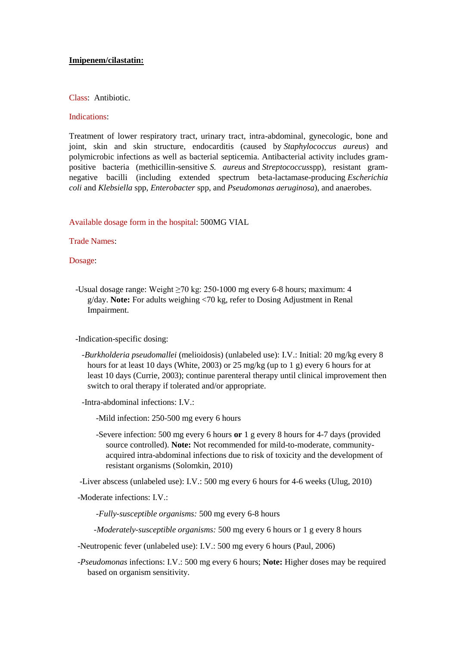#### **Imipenem/cilastatin:**

#### Class: Antibiotic.

#### Indications:

Treatment of lower respiratory tract, urinary tract, intra-abdominal, gynecologic, bone and joint, skin and skin structure, endocarditis (caused by *Staphylococcus aureus*) and polymicrobic infections as well as bacterial septicemia. Antibacterial activity includes grampositive bacteria (methicillin-sensitive *S. aureus* and *Streptococcus*spp), resistant gramnegative bacilli (including extended spectrum beta-lactamase-producing *Escherichia coli* and *Klebsiella* spp, *Enterobacter* spp, and *Pseudomonas aeruginosa*), and anaerobes.

Available dosage form in the hospital: 500MG VIAL

#### Trade Names:

Dosage:

 -Usual dosage range: Weight ≥70 kg: 250-1000 mg every 6-8 hours; maximum: 4 g/day. **Note:** For adults weighing <70 kg, refer to Dosing Adjustment in Renal Impairment.

-Indication-specific dosing:

 *-Burkholderia pseudomallei* (melioidosis) (unlabeled use): I.V.: Initial: 20 mg/kg every 8 hours for at least 10 days (White, 2003) or 25 mg/kg (up to 1 g) every 6 hours for at least 10 days (Currie, 2003); continue parenteral therapy until clinical improvement then switch to oral therapy if tolerated and/or appropriate.

-Intra-abdominal infections: I.V.:

-Mild infection: 250-500 mg every 6 hours

 -Severe infection: 500 mg every 6 hours **or** 1 g every 8 hours for 4-7 days (provided source controlled). **Note:** Not recommended for mild-to-moderate, communityacquired intra-abdominal infections due to risk of toxicity and the development of resistant organisms (Solomkin, 2010)

-Liver abscess (unlabeled use): I.V.: 500 mg every 6 hours for 4-6 weeks (Ulug, 2010)

-Moderate infections: I.V.:

 *-Fully-susceptible organisms:* 500 mg every 6-8 hours

 *-Moderately-susceptible organisms:* 500 mg every 6 hours or 1 g every 8 hours

-Neutropenic fever (unlabeled use): I.V.: 500 mg every 6 hours (Paul, 2006)

 *-Pseudomonas* infections: I.V.: 500 mg every 6 hours; **Note:** Higher doses may be required based on organism sensitivity.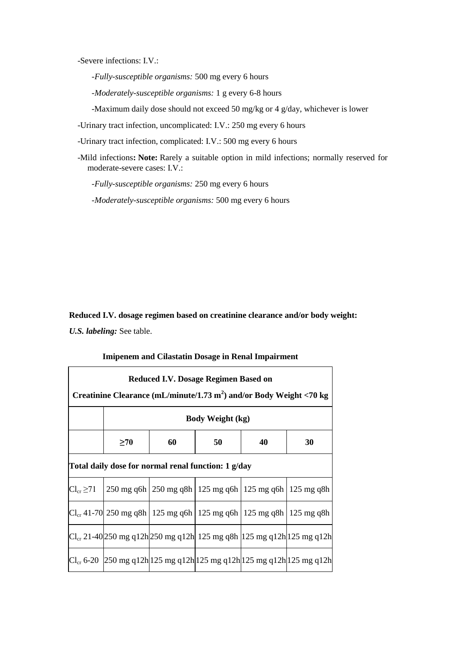-Severe infections: I.V.:

 *-Fully-susceptible organisms:* 500 mg every 6 hours

 *-Moderately-susceptible organisms:* 1 g every 6-8 hours

-Maximum daily dose should not exceed 50 mg/kg or 4 g/day, whichever is lower

-Urinary tract infection, uncomplicated: I.V.: 250 mg every 6 hours

-Urinary tract infection, complicated: I.V.: 500 mg every 6 hours

 -Mild infections**: Note:** Rarely a suitable option in mild infections; normally reserved for moderate-severe cases: I.V.:

 *-Fully-susceptible organisms:* 250 mg every 6 hours

 *-Moderately-susceptible organisms:* 500 mg every 6 hours

**Reduced I.V. dosage regimen based on creatinine clearance and/or body weight:** *U.S. labeling:* See table.

#### **Imipenem and Cilastatin Dosage in Renal Impairment**

| Reduced I.V. Dosage Regimen Based on<br>Creatinine Clearance (mL/minute/1.73 m <sup>2</sup> ) and/or Body Weight <70 kg |                                                                                |                                                                |    |    |                                                                                       |  |  |  |  |
|-------------------------------------------------------------------------------------------------------------------------|--------------------------------------------------------------------------------|----------------------------------------------------------------|----|----|---------------------------------------------------------------------------------------|--|--|--|--|
|                                                                                                                         | <b>Body Weight (kg)</b>                                                        |                                                                |    |    |                                                                                       |  |  |  |  |
|                                                                                                                         | $\geq 70$                                                                      | 60                                                             | 50 | 40 | 30                                                                                    |  |  |  |  |
| Total daily dose for normal renal function: 1 g/day                                                                     |                                                                                |                                                                |    |    |                                                                                       |  |  |  |  |
| $Cl_{cr} \geq 71$                                                                                                       |                                                                                | 250 mg q6h   250 mg q8h   125 mg q6h   125 mg q6h   125 mg q8h |    |    |                                                                                       |  |  |  |  |
|                                                                                                                         | $Cl_{cr}$ 41-70 250 mg q8h   125 mg q6h   125 mg q6h   125 mg q8h   125 mg q8h |                                                                |    |    |                                                                                       |  |  |  |  |
|                                                                                                                         |                                                                                |                                                                |    |    | $Cl_{cr}$ 21-40 250 mg q12h 250 mg q12h  125 mg q8h  125 mg q12h 125 mg q12h          |  |  |  |  |
|                                                                                                                         |                                                                                |                                                                |    |    | $Cl_{cr}$ 6-20   250 mg q 12h  125 mg q 12h  125 mg q 12h  125 mg q 12h  125 mg q 12h |  |  |  |  |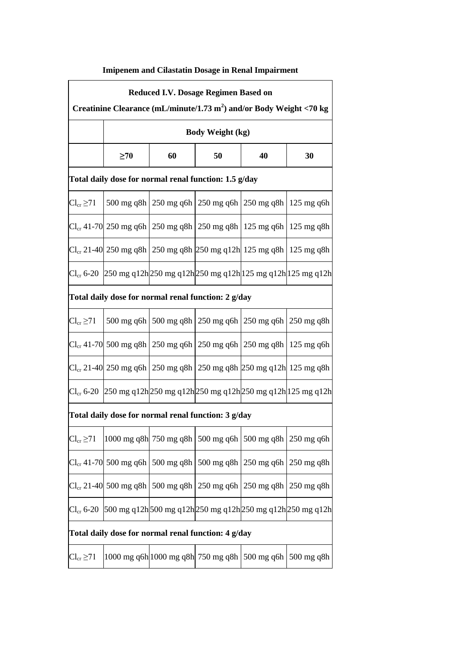# **Imipenem and Cilastatin Dosage in Renal Impairment**

| Reduced I.V. Dosage Regimen Based on<br>Creatinine Clearance (mL/minute/1.73 m <sup>2</sup> ) and/or Body Weight <70 kg |                            |    |                                                                                |    |              |  |  |  |
|-------------------------------------------------------------------------------------------------------------------------|----------------------------|----|--------------------------------------------------------------------------------|----|--------------|--|--|--|
|                                                                                                                         | <b>Body Weight (kg)</b>    |    |                                                                                |    |              |  |  |  |
|                                                                                                                         | $\geq 70$                  | 60 | 50                                                                             | 40 | 30           |  |  |  |
| Total daily dose for normal renal function: 1.5 g/day                                                                   |                            |    |                                                                                |    |              |  |  |  |
| $Cl_{cr} \geq 71$                                                                                                       |                            |    | 500 mg q8h   250 mg q6h   250 mg q6h   250 mg q8h   125 mg q6h                 |    |              |  |  |  |
|                                                                                                                         |                            |    | $Cl_{cr}$ 41-70 250 mg q6h 250 mg q8h 250 mg q8h 125 mg q6h 125 mg q8h         |    |              |  |  |  |
|                                                                                                                         |                            |    | $Cl_{cr}$ 21-40 250 mg q8h 250 mg q8h 250 mg q12h 125 mg q8h 125 mg q8h        |    |              |  |  |  |
|                                                                                                                         |                            |    | $Cl_{cr}$ 6-20 250 mg q12h 250 mg q12h 250 mg q12h 125 mg q12h 125 mg q12h     |    |              |  |  |  |
| Total daily dose for normal renal function: 2 g/day                                                                     |                            |    |                                                                                |    |              |  |  |  |
| $Cl_{cr} \geq 71$                                                                                                       |                            |    | 500 mg q6h   500 mg q8h   250 mg q6h   250 mg q6h   250 mg q8h                 |    |              |  |  |  |
|                                                                                                                         |                            |    | $Cl_{cr}$ 41-70 500 mg q8h   250 mg q6h   250 mg q6h   250 mg q8h   125 mg q6h |    |              |  |  |  |
|                                                                                                                         |                            |    | $Cl_{cr}$ 21-40 250 mg q6h 250 mg q8h 250 mg q8h 250 mg q12h 125 mg q8h        |    |              |  |  |  |
|                                                                                                                         |                            |    | $Cl_{cr}$ 6-20 250 mg q12h 250 mg q12h 250 mg q12h 250 mg q12h 125 mg q12h     |    |              |  |  |  |
| Total daily dose for normal renal function: 3 g/day                                                                     |                            |    |                                                                                |    |              |  |  |  |
| $Cl_{cr} \geq 71$                                                                                                       |                            |    | 1000 mg q8h 750 mg q8h 500 mg q6h 500 mg q8h                                   |    | 250 mg q6h   |  |  |  |
|                                                                                                                         | $Cl_{cr}$ 41-70 500 mg q6h |    | 500 mg q8h   500 mg q8h   250 mg q6h                                           |    | $250$ mg q8h |  |  |  |
|                                                                                                                         | $Cl_{cr}$ 21-40 500 mg q8h |    | 500 mg q8h $\vert$ 250 mg q6h $\vert$ 250 mg q8h                               |    | $250$ mg q8h |  |  |  |
| $Cl_{cr}$ 6-20                                                                                                          |                            |    | 500 mg q12h 500 mg q12h 250 mg q12h 250 mg q12h 250 mg q12h                    |    |              |  |  |  |
| Total daily dose for normal renal function: 4 g/day                                                                     |                            |    |                                                                                |    |              |  |  |  |
| $Cl_{cr} \geq 71$                                                                                                       |                            |    | 1000 mg q6h 1000 mg q8h 750 mg q8h   500 mg q6h                                |    | $500$ mg q8h |  |  |  |